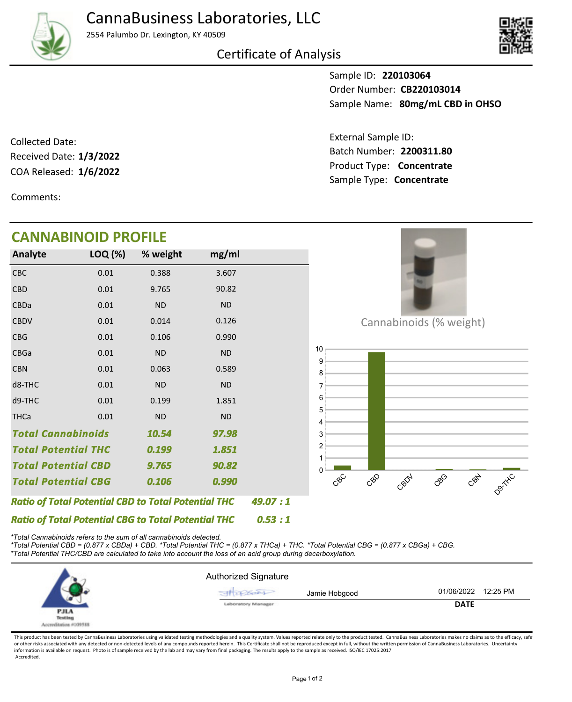

2554 Palumbo Dr. Lexington, KY 40509





Sample ID: **220103064** Sample Name: 80mg/mL CBD in OHSO Order Number: **CB220103014**

Product Type: **Concentrate 1/6/2022** Batch Number: **2200311.80** External Sample ID: Sample Type: **Concentrate**

COA Released: 1/6/2022 Collected Date: Received Date: **1/3/2022**

Comments:

## **CANNABINOID PROFILE**

| <b>Analyte</b>                                             | LOQ (%)                                     | % weight  | mg/ml     |  |
|------------------------------------------------------------|---------------------------------------------|-----------|-----------|--|
| <b>CBC</b>                                                 | 0.01                                        | 0.388     | 3.607     |  |
| <b>CBD</b>                                                 | 0.01                                        | 9.765     | 90.82     |  |
| CBDa                                                       | 0.01                                        | <b>ND</b> | <b>ND</b> |  |
| <b>CBDV</b>                                                | 0.01                                        | 0.014     | 0.126     |  |
| <b>CBG</b>                                                 | 0.01                                        | 0.106     | 0.990     |  |
| CBGa                                                       | 0.01                                        | <b>ND</b> | <b>ND</b> |  |
| <b>CBN</b>                                                 | 0.01                                        | 0.063     | 0.589     |  |
| d8-THC                                                     | 0.01                                        | <b>ND</b> | <b>ND</b> |  |
| d9-THC                                                     | 0.01                                        | 0.199     | 1.851     |  |
| <b>THCa</b>                                                | 0.01                                        | <b>ND</b> | <b>ND</b> |  |
|                                                            | <b>Total Cannabinoids</b><br>10.54<br>97.98 |           |           |  |
| <b>Total Potential THC</b>                                 |                                             | 0.199     | 1.851     |  |
| Total Potential CBD                                        |                                             | 9.765     | 90.82     |  |
| <b>Total Potential CBG</b>                                 |                                             | 0.106     | 0.990     |  |
| <b>Ratio of Total Potential CBD to Total Potential THC</b> | 49.07 : 1                                   |           |           |  |
| <b>Ratio of Total Potential CBG to Total Potential THC</b> | 0.53 : 1                                    |           |           |  |



Cannabinoids (% weight)



*\*Total Cannabinoids refers to the sum of all cannabinoids detected.*

*\*Total Potential CBD = (0.877 x CBDa) + CBD. \*Total Potential THC = (0.877 x THCa) + THC. \*Total Potential CBG = (0.877 x CBGa) + CBG. \*Total Potential THC/CBD are calculated to take into account the loss of an acid group during decarboxylation.*



This product has been tested by CannaBusiness Laboratories using validated testing methodologies and a quality system. Values reported relate only to the product tested. CannaBusiness Laboratories makes no claims as to the or other risks associated with any detected or non-detected levels of any compounds reported herein. This Certificate shall not be reproduced except in full, without the written permission of CannaBusiness Laboratories. Un information is available on request. Photo is of sample received by the lab and may vary from final packaging. The results apply to the sample as received. ISO/IEC 17025:2017 Accredited.